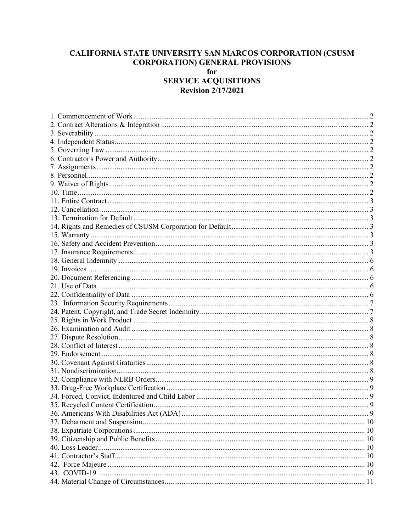# CALIFORNIA STATE UNIVERSITY SAN MARCOS CORPORATION (CSUSM **CORPORATION) GENERAL PROVISIONS**

## for **SERVICE ACQUISITIONS Revision 2/17/2021**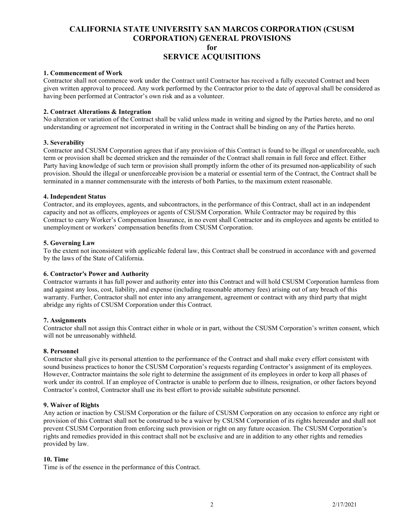#### <span id="page-1-0"></span>**1. Commencement of Work**

Contractor shall not commence work under the Contract until Contractor has received a fully executed Contract and been given written approval to proceed. Any work performed by the Contractor prior to the date of approval shall be considered as having been performed at Contractor's own risk and as a volunteer.

## <span id="page-1-1"></span>**2. Contract Alterations & Integration**

No alteration or variation of the Contract shall be valid unless made in writing and signed by the Parties hereto, and no oral understanding or agreement not incorporated in writing in the Contract shall be binding on any of the Parties hereto.

## <span id="page-1-2"></span>**3. Severability**

Contractor and CSUSM Corporation agrees that if any provision of this Contract is found to be illegal or unenforceable, such term or provision shall be deemed stricken and the remainder of the Contract shall remain in full force and effect. Either Party having knowledge of such term or provision shall promptly inform the other of its presumed non-applicability of such provision. Should the illegal or unenforceable provision be a material or essential term of the Contract, the Contract shall be terminated in a manner commensurate with the interests of both Parties, to the maximum extent reasonable.

#### <span id="page-1-3"></span>**4. Independent Status**

Contractor, and its employees, agents, and subcontractors, in the performance of this Contract, shall act in an independent capacity and not as officers, employees or agents of CSUSM Corporation. While Contractor may be required by this Contract to carry Worker's Compensation Insurance, in no event shall Contractor and its employees and agents be entitled to unemployment or workers' compensation benefits from CSUSM Corporation.

#### <span id="page-1-4"></span>**5. Governing Law**

To the extent not inconsistent with applicable federal law, this Contract shall be construed in accordance with and governed by the laws of the State of California.

## <span id="page-1-5"></span>**6. Contractor's Power and Authority**

Contractor warrants it has full power and authority enter into this Contract and will hold CSUSM Corporation harmless from and against any loss, cost, liability, and expense (including reasonable attorney fees) arising out of any breach of this warranty. Further, Contractor shall not enter into any arrangement, agreement or contract with any third party that might abridge any rights of CSUSM Corporation under this Contract.

## <span id="page-1-6"></span>**7. Assignments**

Contractor shall not assign this Contract either in whole or in part, without the CSUSM Corporation's written consent, which will not be unreasonably withheld.

#### <span id="page-1-7"></span>**8. Personnel**

Contractor shall give its personal attention to the performance of the Contract and shall make every effort consistent with sound business practices to honor the CSUSM Corporation's requests regarding Contractor's assignment of its employees. However, Contractor maintains the sole right to determine the assignment of its employees in order to keep all phases of work under its control. If an employee of Contractor is unable to perform due to illness, resignation, or other factors beyond Contractor's control, Contractor shall use its best effort to provide suitable substitute personnel.

#### <span id="page-1-8"></span>**9. Waiver of Rights**

Any action or inaction by CSUSM Corporation or the failure of CSUSM Corporation on any occasion to enforce any right or provision of this Contract shall not be construed to be a waiver by CSUSM Corporation of its rights hereunder and shall not prevent CSUSM Corporation from enforcing such provision or right on any future occasion. The CSUSM Corporation's rights and remedies provided in this contract shall not be exclusive and are in addition to any other rights and remedies provided by law.

#### <span id="page-1-9"></span>**10. Time**

Time is of the essence in the performance of this Contract.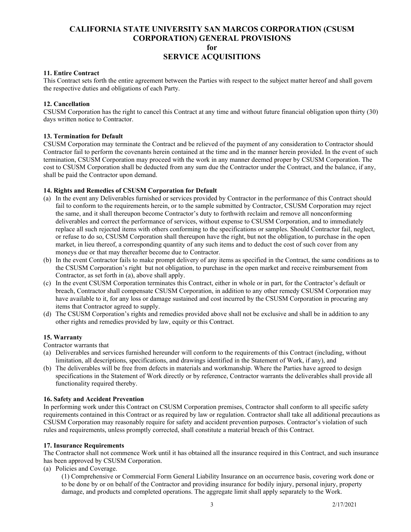## <span id="page-2-0"></span>**11. Entire Contract**

This Contract sets forth the entire agreement between the Parties with respect to the subject matter hereof and shall govern the respective duties and obligations of each Party.

## <span id="page-2-1"></span>**12. Cancellation**

CSUSM Corporation has the right to cancel this Contract at any time and without future financial obligation upon thirty (30) days written notice to Contractor.

## <span id="page-2-2"></span>**13. Termination for Default**

CSUSM Corporation may terminate the Contract and be relieved of the payment of any consideration to Contractor should Contractor fail to perform the covenants herein contained at the time and in the manner herein provided. In the event of such termination, CSUSM Corporation may proceed with the work in any manner deemed proper by CSUSM Corporation. The cost to CSUSM Corporation shall be deducted from any sum due the Contractor under the Contract, and the balance, if any, shall be paid the Contractor upon demand.

## <span id="page-2-3"></span>**14. Rights and Remedies of CSUSM Corporation for Default**

- (a) In the event any Deliverables furnished or services provided by Contractor in the performance of this Contract should fail to conform to the requirements herein, or to the sample submitted by Contractor, CSUSM Corporation may reject the same, and it shall thereupon become Contractor's duty to forthwith reclaim and remove all nonconforming deliverables and correct the performance of services, without expense to CSUSM Corporation, and to immediately replace all such rejected items with others conforming to the specifications or samples. Should Contractor fail, neglect, or refuse to do so, CSUSM Corporation shall thereupon have the right, but not the obligation, to purchase in the open market, in lieu thereof, a corresponding quantity of any such items and to deduct the cost of such cover from any moneys due or that may thereafter become due to Contractor.
- (b) In the event Contractor fails to make prompt delivery of any items as specified in the Contract, the same conditions as to the CSUSM Corporation's right but not obligation, to purchase in the open market and receive reimbursement from Contractor, as set forth in (a), above shall apply.
- (c) In the event CSUSM Corporation terminates this Contract, either in whole or in part, for the Contractor's default or breach, Contractor shall compensate CSUSM Corporation, in addition to any other remedy CSUSM Corporation may have available to it, for any loss or damage sustained and cost incurred by the CSUSM Corporation in procuring any items that Contractor agreed to supply.
- (d) The CSUSM Corporation's rights and remedies provided above shall not be exclusive and shall be in addition to any other rights and remedies provided by law, equity or this Contract.

#### <span id="page-2-4"></span>**15. Warranty**

Contractor warrants that

- (a) Deliverables and services furnished hereunder will conform to the requirements of this Contract (including, without limitation, all descriptions, specifications, and drawings identified in the Statement of Work, if any), and
- (b) The deliverables will be free from defects in materials and workmanship. Where the Parties have agreed to design specifications in the Statement of Work directly or by reference, Contractor warrants the deliverables shall provide all functionality required thereby.

#### <span id="page-2-5"></span>**16. Safety and Accident Prevention**

In performing work under this Contract on CSUSM Corporation premises, Contractor shall conform to all specific safety requirements contained in this Contract or as required by law or regulation. Contractor shall take all additional precautions as CSUSM Corporation may reasonably require for safety and accident prevention purposes. Contractor's violation of such rules and requirements, unless promptly corrected, shall constitute a material breach of this Contract.

#### <span id="page-2-6"></span>**17. Insurance Requirements**

The Contractor shall not commence Work until it has obtained all the insurance required in this Contract, and such insurance has been approved by CSUSM Corporation.

(a) Policies and Coverage.

(1) Comprehensive or Commercial Form General Liability Insurance on an occurrence basis, covering work done or to be done by or on behalf of the Contractor and providing insurance for bodily injury, personal injury, property damage, and products and completed operations. The aggregate limit shall apply separately to the Work.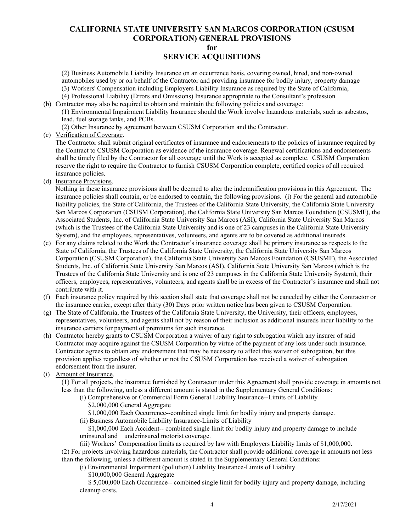# **CALIFORNIA STATE UNIVERSITY SAN MARCOS CORPORATION (CSUSM CORPORATION) GENERAL PROVISIONS**

**for**

## **SERVICE ACQUISITIONS**

(2) Business Automobile Liability Insurance on an occurrence basis, covering owned, hired, and non-owned automobiles used by or on behalf of the Contractor and providing insurance for bodily injury, property damage (3) Workers' Compensation including Employers Liability Insurance as required by the State of California, (4) Professional Liability (Errors and Omissions) Insurance appropriate to the Consultant's profession

(b) Contractor may also be required to obtain and maintain the following policies and coverage:

(1) Environmental Impairment Liability Insurance should the Work involve hazardous materials, such as asbestos, lead, fuel storage tanks, and PCBs.

(2) Other Insurance by agreement between CSUSM Corporation and the Contractor.

(c) Verification of Coverage.

 The Contractor shall submit original certificates of insurance and endorsements to the policies of insurance required by the Contract to CSUSM Corporation as evidence of the insurance coverage. Renewal certifications and endorsements shall be timely filed by the Contractor for all coverage until the Work is accepted as complete. CSUSM Corporation reserve the right to require the Contractor to furnish CSUSM Corporation complete, certified copies of all required insurance policies.

(d) Insurance Provisions.

 Nothing in these insurance provisions shall be deemed to alter the indemnification provisions in this Agreement. The insurance policies shall contain, or be endorsed to contain, the following provisions. (i) For the general and automobile liability policies, the State of California, the Trustees of the California State University, the California State University San Marcos Corporation (CSUSM Corporation), the California State University San Marcos Foundation (CSUSMF), the Associated Students, Inc. of California State University San Marcos (ASI), California State University San Marcos (which is the Trustees of the California State University and is one of 23 campuses in the California State University System), and the employees, representatives, volunteers, and agents are to be covered as additional insureds.

- (e) For any claims related to the Work the Contractor's insurance coverage shall be primary insurance as respects to the State of California, the Trustees of the California State University, the California State University San Marcos Corporation (CSUSM Corporation), the California State University San Marcos Foundation (CSUSMF), the Associated Students, Inc. of California State University San Marcos (ASI), California State University San Marcos (which is the Trustees of the California State University and is one of 23 campuses in the California State University System), their officers, employees, representatives, volunteers, and agents shall be in excess of the Contractor's insurance and shall not contribute with it.
- (f) Each insurance policy required by this section shall state that coverage shall not be canceled by either the Contractor or the insurance carrier, except after thirty (30) Days prior written notice has been given to CSUSM Corporation.
- (g) The State of California, the Trustees of the California State University, the University, their officers, employees, representatives, volunteers, and agents shall not by reason of their inclusion as additional insureds incur liability to the insurance carriers for payment of premiums for such insurance.
- (h) Contractor hereby grants to CSUSM Corporation a waiver of any right to subrogation which any insurer of said Contractor may acquire against the CSUSM Corporation by virtue of the payment of any loss under such insurance. Contractor agrees to obtain any endorsement that may be necessary to affect this waiver of subrogation, but this provision applies regardless of whether or not the CSUSM Corporation has received a waiver of subrogation endorsement from the insurer.
- (i) Amount of Insurance.

(1) For all projects, the insurance furnished by Contractor under this Agreement shall provide coverage in amounts not less than the following, unless a different amount is stated in the Supplementary General Conditions:

(i) Comprehensive or Commercial Form General Liability Insurance--Limits of Liability \$2,000,000 General Aggregate

\$1,000,000 Each Occurrence--combined single limit for bodily injury and property damage.

(ii) Business Automobile Liability Insurance-Limits of Liability

 \$1,000,000 Each Accident-- combined single limit for bodily injury and property damage to include uninsured and underinsured motorist coverage.

(iii) Workers' Compensation limits as required by law with Employers Liability limits of \$1,000,000. (2) For projects involving hazardous materials, the Contractor shall provide additional coverage in amounts not less than the following, unless a different amount is stated in the Supplementary General Conditions:

(i) Environmental Impairment (pollution) Liability Insurance-Limits of Liability

\$10,000,000 General Aggregate

 \$ 5,000,000 Each Occurrence-- combined single limit for bodily injury and property damage, including cleanup costs.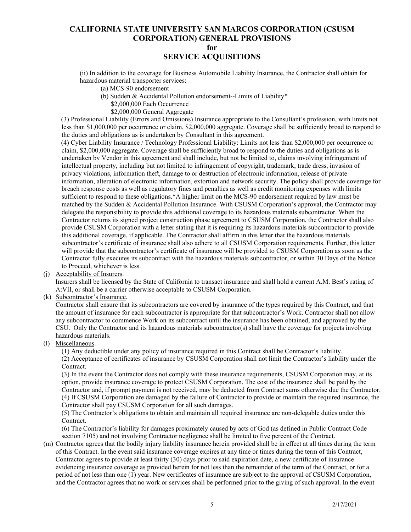# **SERVICE ACQUISITIONS**

(ii) In addition to the coverage for Business Automobile Liability Insurance, the Contractor shall obtain for hazardous material transporter services:

- (a) MCS-90 endorsement
- (b) Sudden & Accidental Pollution endorsement--Limits of Liability\*
	- \$2,000,000 Each Occurrence
	- \$2,000,000 General Aggregate

(3) Professional Liability (Errors and Omissions) Insurance appropriate to the Consultant's profession, with limits not less than \$1,000,000 per occurrence or claim, \$2,000,000 aggregate. Coverage shall be sufficiently broad to respond to the duties and obligations as is undertaken by Consultant in this agreement.

(4) Cyber Liability Insurance / Technology Professional Liability: Limits not less than \$2,000,000 per occurrence or claim, \$2,000,000 aggregate. Coverage shall be sufficiently broad to respond to the duties and obligations as is undertaken by Vendor in this agreement and shall include, but not be limited to, claims involving infringement of intellectual property, including but not limited to infringement of copyright, trademark, trade dress, invasion of privacy violations, information theft, damage to or destruction of electronic information, release of private information, alteration of electronic information, extortion and network security. The policy shall provide coverage for breach response costs as well as regulatory fines and penalties as well as credit monitoring expenses with limits sufficient to respond to these obligations.\*A higher limit on the MCS-90 endorsement required by law must be matched by the Sudden & Accidental Pollution Insurance. With CSUSM Corporation's approval, the Contractor may delegate the responsibility to provide this additional coverage to its hazardous materials subcontractor. When the Contractor returns its signed project construction phase agreement to CSUSM Corporation, the Contractor shall also provide CSUSM Corporation with a letter stating that it is requiring its hazardous materials subcontractor to provide this additional coverage, if applicable. The Contractor shall affirm in this letter that the hazardous materials subcontractor's certificate of insurance shall also adhere to all CSUSM Corporation requirements. Further, this letter will provide that the subcontractor's certificate of insurance will be provided to CSUSM Corporation as soon as the Contractor fully executes its subcontract with the hazardous materials subcontractor, or within 30 Days of the Notice to Proceed, whichever is less.

## (j) Acceptability of Insurers.

 Insurers shall be licensed by the State of California to transact insurance and shall hold a current A.M. Best's rating of A:VII, or shall be a carrier otherwise acceptable to CSUSM Corporation.

#### (k) Subcontractor's Insurance.

 Contractor shall ensure that its subcontractors are covered by insurance of the types required by this Contract, and that the amount of insurance for each subcontractor is appropriate for that subcontractor's Work. Contractor shall not allow any subcontractor to commence Work on its subcontract until the insurance has been obtained, and approved by the CSU. Only the Contractor and its hazardous materials subcontractor(s) shall have the coverage for projects involving hazardous materials.

## (l) Miscellaneous.

(1) Any deductible under any policy of insurance required in this Contract shall be Contractor's liability.

(2) Acceptance of certificates of insurance by CSUSM Corporation shall not limit the Contractor's liability under the Contract.

(3) In the event the Contractor does not comply with these insurance requirements, CSUSM Corporation may, at its option, provide insurance coverage to protect CSUSM Corporation. The cost of the insurance shall be paid by the Contractor and, if prompt payment is not received, may be deducted from Contract sums otherwise due the Contractor. (4) If CSUSM Corporation are damaged by the failure of Contractor to provide or maintain the required insurance, the Contractor shall pay CSUSM Corporation for all such damages.

(5) The Contractor's obligations to obtain and maintain all required insurance are non-delegable duties under this Contract.

(6) The Contractor's liability for damages proximately caused by acts of God (as defined in Public Contract Code section 7105) and not involving Contractor negligence shall be limited to five percent of the Contract.

(m) Contractor agrees that the bodily injury liability insurance herein provided shall be in effect at all times during the term of this Contract. In the event said insurance coverage expires at any time or times during the term of this Contract, Contractor agrees to provide at least thirty (30) days prior to said expiration date, a new certificate of insurance evidencing insurance coverage as provided herein for not less than the remainder of the term of the Contract, or for a period of not less than one (1) year. New certificates of insurance are subject to the approval of CSUSM Corporation, and the Contractor agrees that no work or services shall be performed prior to the giving of such approval. In the event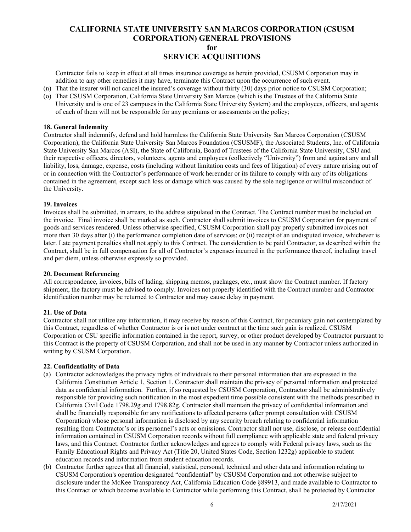Contractor fails to keep in effect at all times insurance coverage as herein provided, CSUSM Corporation may in addition to any other remedies it may have, terminate this Contract upon the occurrence of such event.

- (n) That the insurer will not cancel the insured's coverage without thirty (30) days prior notice to CSUSM Corporation;
- (o) That CSUSM Corporation, California State University San Marcos (which is the Trustees of the California State University and is one of 23 campuses in the California State University System) and the employees, officers, and agents of each of them will not be responsible for any premiums or assessments on the policy;

#### <span id="page-5-0"></span>**18. General Indemnity**

Contractor shall indemnify, defend and hold harmless the California State University San Marcos Corporation (CSUSM Corporation), the California State University San Marcos Foundation (CSUSMF), the Associated Students, Inc. of California State University San Marcos (ASI), the State of California, Board of Trustees of the California State University, CSU and their respective officers, directors, volunteers, agents and employees (collectively "University") from and against any and all liability, loss, damage, expense, costs (including without limitation costs and fees of litigation) of every nature arising out of or in connection with the Contractor's performance of work hereunder or its failure to comply with any of its obligations contained in the agreement, except such loss or damage which was caused by the sole negligence or willful misconduct of the University.

#### <span id="page-5-1"></span>**19. Invoices**

Invoices shall be submitted, in arrears, to the address stipulated in the Contract. The Contract number must be included on the invoice. Final invoice shall be marked as such. Contractor shall submit invoices to CSUSM Corporation for payment of goods and services rendered. Unless otherwise specified, CSUSM Corporation shall pay properly submitted invoices not more than 30 days after (i) the performance completion date of services; or (ii) receipt of an undisputed invoice, whichever is later. Late payment penalties shall not apply to this Contract. The consideration to be paid Contractor, as described within the Contract, shall be in full compensation for all of Contractor's expenses incurred in the performance thereof, including travel and per diem, unless otherwise expressly so provided.

#### <span id="page-5-2"></span>**20. Document Referencing**

All correspondence, invoices, bills of lading, shipping memos, packages, etc., must show the Contract number. If factory shipment, the factory must be advised to comply. Invoices not properly identified with the Contract number and Contractor identification number may be returned to Contractor and may cause delay in payment.

#### <span id="page-5-3"></span>**21. Use of Data**

Contractor shall not utilize any information, it may receive by reason of this Contract, for pecuniary gain not contemplated by this Contract, regardless of whether Contractor is or is not under contract at the time such gain is realized. CSUSM Corporation or CSU specific information contained in the report, survey, or other product developed by Contractor pursuant to this Contract is the property of CSUSM Corporation, and shall not be used in any manner by Contractor unless authorized in writing by CSUSM Corporation.

#### <span id="page-5-4"></span>**22. Confidentiality of Data**

- (a) Contractor acknowledges the privacy rights of individuals to their personal information that are expressed in the California Constitution Article 1, Section 1. Contractor shall maintain the privacy of personal information and protected data as confidential information. Further, if so requested by CSUSM Corporation, Contractor shall be administratively responsible for providing such notification in the most expedient time possible consistent with the methods prescribed in California Civil Code 1798.29g and 1798.82g. Contractor shall maintain the privacy of confidential information and shall be financially responsible for any notifications to affected persons (after prompt consultation with CSUSM Corporation) whose personal information is disclosed by any security breach relating to confidential information resulting from Contractor's or its personnel's acts or omissions. Contractor shall not use, disclose, or release confidential information contained in CSUSM Corporation records without full compliance with applicable state and federal privacy laws, and this Contract. Contractor further acknowledges and agrees to comply with Federal privacy laws, such as the Family Educational Rights and Privacy Act (Title 20, United States Code, Section 1232g) applicable to student education records and information from student education records.
- (b) Contractor further agrees that all financial, statistical, personal, technical and other data and information relating to CSUSM Corporation's operation designated "confidential" by CSUSM Corporation and not otherwise subject to disclosure under the McKee Transparency Act, California Education Code §89913, and made available to Contractor to this Contract or which become available to Contractor while performing this Contract, shall be protected by Contractor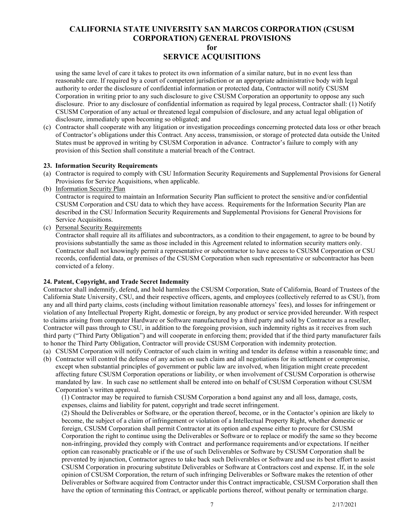using the same level of care it takes to protect its own information of a similar nature, but in no event less than reasonable care. If required by a court of competent jurisdiction or an appropriate administrative body with legal authority to order the disclosure of confidential information or protected data, Contractor will notify CSUSM Corporation in writing prior to any such disclosure to give CSUSM Corporation an opportunity to oppose any such disclosure. Prior to any disclosure of confidential information as required by legal process, Contractor shall: (1) Notify CSUSM Corporation of any actual or threatened legal compulsion of disclosure, and any actual legal obligation of disclosure, immediately upon becoming so obligated; and

(c) Contractor shall cooperate with any litigation or investigation proceedings concerning protected data loss or other breach of Contractor's obligations under this Contract. Any access, transmission, or storage of protected data outside the United States must be approved in writing by CSUSM Corporation in advance. Contractor's failure to comply with any provision of this Section shall constitute a material breach of the Contract.

#### <span id="page-6-0"></span>**23.****Information Security Requirements**

- (a) Contractor is required to comply with CSU Information Security Requirements and Supplemental Provisions for General Provisions for Service Acquisitions, when applicable.
- (b) Information Security Plan

 Contractor is required to maintain an Information Security Plan sufficient to protect the sensitive and/or confidential CSUSM Corporation and CSU data to which they have access. Requirements for the Information Security Plan are described in the CSU Information Security Requirements and Supplemental Provisions for General Provisions for Service Acquisitions.

(c) Personal Security Requirements

 Contractor shall require all its affiliates and subcontractors, as a condition to their engagement, to agree to be bound by provisions substantially the same as those included in this Agreement related to information security matters only. Contractor shall not knowingly permit a representative or subcontractor to have access to CSUSM Corporation or CSU records, confidential data, or premises of the CSUSM Corporation when such representative or subcontractor has been convicted of a felony.

#### <span id="page-6-1"></span>**24. Patent, Copyright, and Trade Secret Indemnity**

Contractor shall indemnify, defend, and hold harmless the CSUSM Corporation, State of California, Board of Trustees of the California State University, CSU, and their respective officers, agents, and employees (collectively referred to as CSU), from any and all third party claims, costs (including without limitation reasonable attorneys' fees), and losses for infringement or violation of any Intellectual Property Right, domestic or foreign, by any product or service provided hereunder. With respect to claims arising from computer Hardware or Software manufactured by a third party and sold by Contractor as a reseller, Contractor will pass through to CSU, in addition to the foregoing provision, such indemnity rights as it receives from such third party ("Third Party Obligation") and will cooperate in enforcing them; provided that if the third party manufacturer fails to honor the Third Party Obligation, Contractor will provide CSUSM Corporation with indemnity protection.

- (a) CSUSM Corporation will notify Contractor of such claim in writing and tender its defense within a reasonable time; and
- (b) Contractor will control the defense of any action on such claim and all negotiations for its settlement or compromise, except when substantial principles of government or public law are involved, when litigation might create precedent affecting future CSUSM Corporation operations or liability, or when involvement of CSUSM Corporation is otherwise mandated by law. In such case no settlement shall be entered into on behalf of CSUSM Corporation without CSUSM Corporation's written approval.

(1) Contractor may be required to furnish CSUSM Corporation a bond against any and all loss, damage, costs, expenses, claims and liability for patent, copyright and trade secret infringement.

(2) Should the Deliverables or Software, or the operation thereof, become, or in the Contactor's opinion are likely to become, the subject of a claim of infringement or violation of a Intellectual Property Right, whether domestic or foreign, CSUSM Corporation shall permit Contractor at its option and expense either to procure for CSUSM Corporation the right to continue using the Deliverables or Software or to replace or modify the same so they become non-infringing, provided they comply with Contract and performance requirements and/or expectations. If neither option can reasonably practicable or if the use of such Deliverables or Software by CSUSM Corporation shall be prevented by injunction, Contractor agrees to take back such Deliverables or Software and use its best effort to assist CSUSM Corporation in procuring substitute Deliverables or Software at Contractors cost and expense. If, in the sole opinion of CSUSM Corporation, the return of such infringing Deliverables or Software makes the retention of other Deliverables or Software acquired from Contractor under this Contract impracticable, CSUSM Corporation shall then have the option of terminating this Contract, or applicable portions thereof, without penalty or termination charge.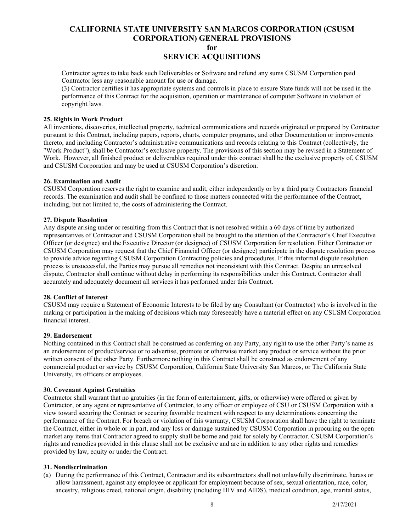Contractor agrees to take back such Deliverables or Software and refund any sums CSUSM Corporation paid Contractor less any reasonable amount for use or damage.

(3) Contractor certifies it has appropriate systems and controls in place to ensure State funds will not be used in the performance of this Contract for the acquisition, operation or maintenance of computer Software in violation of copyright laws.

#### <span id="page-7-0"></span>**25. Rights in Work Product**

All inventions, discoveries, intellectual property, technical communications and records originated or prepared by Contractor pursuant to this Contract, including papers, reports, charts, computer programs, and other Documentation or improvements thereto, and including Contractor's administrative communications and records relating to this Contract (collectively, the "Work Product"), shall be Contractor's exclusive property. The provisions of this section may be revised in a Statement of Work. However, all finished product or deliverables required under this contract shall be the exclusive property of, CSUSM and CSUSM Corporation and may be used at CSUSM Corporation's discretion.

## <span id="page-7-1"></span>**26. Examination and Audit**

CSUSM Corporation reserves the right to examine and audit, either independently or by a third party Contractors financial records. The examination and audit shall be confined to those matters connected with the performance of the Contract, including, but not limited to, the costs of administering the Contract.

## <span id="page-7-2"></span>**27. Dispute Resolution**

Any dispute arising under or resulting from this Contract that is not resolved within a 60 days of time by authorized representatives of Contractor and CSUSM Corporation shall be brought to the attention of the Contractor's Chief Executive Officer (or designee) and the Executive Director (or designee) of CSUSM Corporation for resolution. Either Contractor or CSUSM Corporation may request that the Chief Financial Officer (or designee) participate in the dispute resolution process to provide advice regarding CSUSM Corporation Contracting policies and procedures. If this informal dispute resolution process is unsuccessful, the Parties may pursue all remedies not inconsistent with this Contract. Despite an unresolved dispute, Contractor shall continue without delay in performing its responsibilities under this Contract. Contractor shall accurately and adequately document all services it has performed under this Contract.

## <span id="page-7-3"></span>**28. Conflict of Interest**

CSUSM may require a Statement of Economic Interests to be filed by any Consultant (or Contractor) who is involved in the making or participation in the making of decisions which may foreseeably have a material effect on any CSUSM Corporation financial interest.

#### <span id="page-7-4"></span>**29. Endorsement**

Nothing contained in this Contract shall be construed as conferring on any Party, any right to use the other Party's name as an endorsement of product/service or to advertise, promote or otherwise market any product or service without the prior written consent of the other Party. Furthermore nothing in this Contract shall be construed as endorsement of any commercial product or service by CSUSM Corporation, California State University San Marcos, or The California State University, its officers or employees.

#### <span id="page-7-5"></span>**30. Covenant Against Gratuities**

Contractor shall warrant that no gratuities (in the form of entertainment, gifts, or otherwise) were offered or given by Contractor, or any agent or representative of Contractor, to any officer or employee of CSU or CSUSM Corporation with a view toward securing the Contract or securing favorable treatment with respect to any determinations concerning the performance of the Contract. For breach or violation of this warranty, CSUSM Corporation shall have the right to terminate the Contract, either in whole or in part, and any loss or damage sustained by CSUSM Corporation in procuring on the open market any items that Contractor agreed to supply shall be borne and paid for solely by Contractor. CSUSM Corporation's rights and remedies provided in this clause shall not be exclusive and are in addition to any other rights and remedies provided by law, equity or under the Contract.

#### <span id="page-7-6"></span>**31. Nondiscrimination**

(a) During the performance of this Contract, Contractor and its subcontractors shall not unlawfully discriminate, harass or allow harassment, against any employee or applicant for employment because of sex, sexual orientation, race, color, ancestry, religious creed, national origin, disability (including HIV and AIDS), medical condition, age, marital status,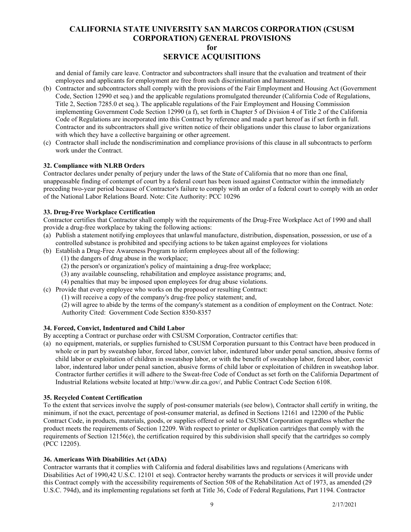and denial of family care leave. Contractor and subcontractors shall insure that the evaluation and treatment of their employees and applicants for employment are free from such discrimination and harassment.

- (b) Contractor and subcontractors shall comply with the provisions of the Fair Employment and Housing Act (Government Code, Section 12990 et seq.) and the applicable regulations promulgated thereunder (California Code of Regulations, Title 2, Section 7285.0 et seq.). The applicable regulations of the Fair Employment and Housing Commission implementing Government Code Section 12990 (a f), set forth in Chapter 5 of Division 4 of Title 2 of the California Code of Regulations are incorporated into this Contract by reference and made a part hereof as if set forth in full. Contractor and its subcontractors shall give written notice of their obligations under this clause to labor organizations with which they have a collective bargaining or other agreement.
- (c) Contractor shall include the nondiscrimination and compliance provisions of this clause in all subcontracts to perform work under the Contract.

## <span id="page-8-0"></span>**32. Compliance with NLRB Orders**

Contractor declares under penalty of perjury under the laws of the State of California that no more than one final, unappeasable finding of contempt of court by a federal court has been issued against Contractor within the immediately preceding two-year period because of Contractor's failure to comply with an order of a federal court to comply with an order of the National Labor Relations Board. Note: Cite Authority: PCC 10296

## <span id="page-8-1"></span>**33. Drug-Free Workplace Certification**

Contractor certifies that Contractor shall comply with the requirements of the Drug-Free Workplace Act of 1990 and shall provide a drug-free workplace by taking the following actions:

- (a) Publish a statement notifying employees that unlawful manufacture, distribution, dispensation, possession, or use of a controlled substance is prohibited and specifying actions to be taken against employees for violations
- (b) Establish a Drug-Free Awareness Program to inform employees about all of the following:
	- (1) the dangers of drug abuse in the workplace;
	- (2) the person's or organization's policy of maintaining a drug-free workplace;
	- (3) any available counseling, rehabilitation and employee assistance programs; and,
	- (4) penalties that may be imposed upon employees for drug abuse violations.
- (c) Provide that every employee who works on the proposed or resulting Contract:
	- (1) will receive a copy of the company's drug-free policy statement; and,

(2) will agree to abide by the terms of the company's statement as a condition of employment on the Contract. Note: Authority Cited: Government Code Section 8350-8357

#### <span id="page-8-2"></span>**34. Forced, Convict, Indentured and Child Labor**

By accepting a Contract or purchase order with CSUSM Corporation, Contractor certifies that:

(a) no equipment, materials, or supplies furnished to CSUSM Corporation pursuant to this Contract have been produced in whole or in part by sweatshop labor, forced labor, convict labor, indentured labor under penal sanction, abusive forms of child labor or exploitation of children in sweatshop labor, or with the benefit of sweatshop labor, forced labor, convict labor, indentured labor under penal sanction, abusive forms of child labor or exploitation of children in sweatshop labor. Contractor further certifies it will adhere to the Sweat-free Code of Conduct as set forth on the California Department of Industrial Relations website located at http://www.dir.ca.gov/, and Public Contract Code Section 6108.

## <span id="page-8-3"></span>**35. Recycled Content Certification**

To the extent that services involve the supply of post-consumer materials (see below), Contractor shall certify in writing, the minimum, if not the exact, percentage of post-consumer material, as defined in Sections 12161 and 12200 of the Public Contract Code, in products, materials, goods, or supplies offered or sold to CSUSM Corporation regardless whether the product meets the requirements of Section 12209. With respect to printer or duplication cartridges that comply with the requirements of Section 12156(e), the certification required by this subdivision shall specify that the cartridges so comply (PCC 12205).

#### <span id="page-8-4"></span>**36. Americans With Disabilities Act (ADA)**

Contractor warrants that it complies with California and federal disabilities laws and regulations (Americans with Disabilities Act of 1990,42 U.S.C. 12101 et seq). Contractor hereby warrants the products or services it will provide under this Contract comply with the accessibility requirements of Section 508 of the Rehabilitation Act of 1973, as amended (29 U.S.C. 794d), and its implementing regulations set forth at Title 36, Code of Federal Regulations, Part 1194. Contractor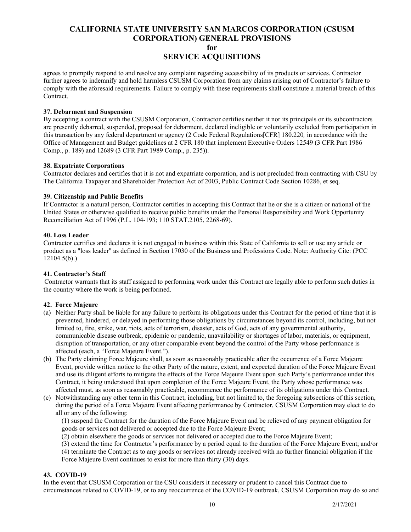agrees to promptly respond to and resolve any complaint regarding accessibility of its products or services. Contractor further agrees to indemnify and hold harmless CSUSM Corporation from any claims arising out of Contractor's failure to comply with the aforesaid requirements. Failure to comply with these requirements shall constitute a material breach of this Contract.

## <span id="page-9-0"></span>**37. Debarment and Suspension**

By accepting a contract with the CSUSM Corporation, Contractor certifies neither it nor its principals or its subcontractors are presently debarred, suspended, proposed for debarment, declared ineligible or voluntarily excluded from participation in this transaction by any federal department or agency (2 Code Federal Regulations[CFR] 180.220*,* in accordance with the Office of Management and Budget guidelines at 2 CFR 180 that implement Executive Orders 12549 (3 CFR Part 1986 Comp., p. 189) and 12689 (3 CFR Part 1989 Comp., p. 235)).

## <span id="page-9-1"></span>**38. Expatriate Corporations**

Contractor declares and certifies that it is not and expatriate corporation, and is not precluded from contracting with CSU by The California Taxpayer and Shareholder Protection Act of 2003, Public Contract Code Section 10286, et seq.

## <span id="page-9-2"></span>**39. Citizenship and Public Benefits**

If Contractor is a natural person, Contractor certifies in accepting this Contract that he or she is a citizen or national of the United States or otherwise qualified to receive public benefits under the Personal Responsibility and Work Opportunity Reconciliation Act of 1996 (P.L. 104-193; 110 STAT.2105, 2268-69).

#### <span id="page-9-3"></span>**40. Loss Leader**

Contractor certifies and declares it is not engaged in business within this State of California to sell or use any article or product as a "loss leader" as defined in Section 17030 of the Business and Professions Code. Note: Authority Cite: (PCC 12104.5(b).)

## <span id="page-9-4"></span>**41. Contractor's Staff**

 Contractor warrants that its staff assigned to performing work under this Contract are legally able to perform such duties in the country where the work is being performed.

## <span id="page-9-5"></span>**42. Force Majeure**

- (a) Neither Party shall be liable for any failure to perform its obligations under this Contract for the period of time that it is prevented, hindered, or delayed in performing those obligations by circumstances beyond its control, including, but not limited to, fire, strike, war, riots, acts of terrorism, disaster, acts of God, acts of any governmental authority, communicable disease outbreak, epidemic or pandemic, unavailability or shortages of labor, materials, or equipment, disruption of transportation, or any other comparable event beyond the control of the Party whose performance is affected (each, a "Force Majeure Event.").
- (b) The Party claiming Force Majeure shall, as soon as reasonably practicable after the occurrence of a Force Majeure Event, provide written notice to the other Party of the nature, extent, and expected duration of the Force Majeure Event and use its diligent efforts to mitigate the effects of the Force Majeure Event upon such Party's performance under this Contract, it being understood that upon completion of the Force Majeure Event, the Party whose performance was affected must, as soon as reasonably practicable, recommence the performance of its obligations under this Contract.
- (c) Notwithstanding any other term in this Contract, including, but not limited to, the foregoing subsections of this section, during the period of a Force Majeure Event affecting performance by Contractor, CSUSM Corporation may elect to do all or any of the following:

(1) suspend the Contract for the duration of the Force Majeure Event and be relieved of any payment obligation for goods or services not delivered or accepted due to the Force Majeure Event;

- (2) obtain elsewhere the goods or services not delivered or accepted due to the Force Majeure Event;
- (3) extend the time for Contractor's performance by a period equal to the duration of the Force Majeure Event; and/or

(4) terminate the Contract as to any goods or services not already received with no further financial obligation if the Force Majeure Event continues to exist for more than thirty (30) days.

#### <span id="page-9-6"></span>**43. COVID-19**

In the event that CSUSM Corporation or the CSU considers it necessary or prudent to cancel this Contract due to circumstances related to COVID-19, or to any reoccurrence of the COVID-19 outbreak, CSUSM Corporation may do so and